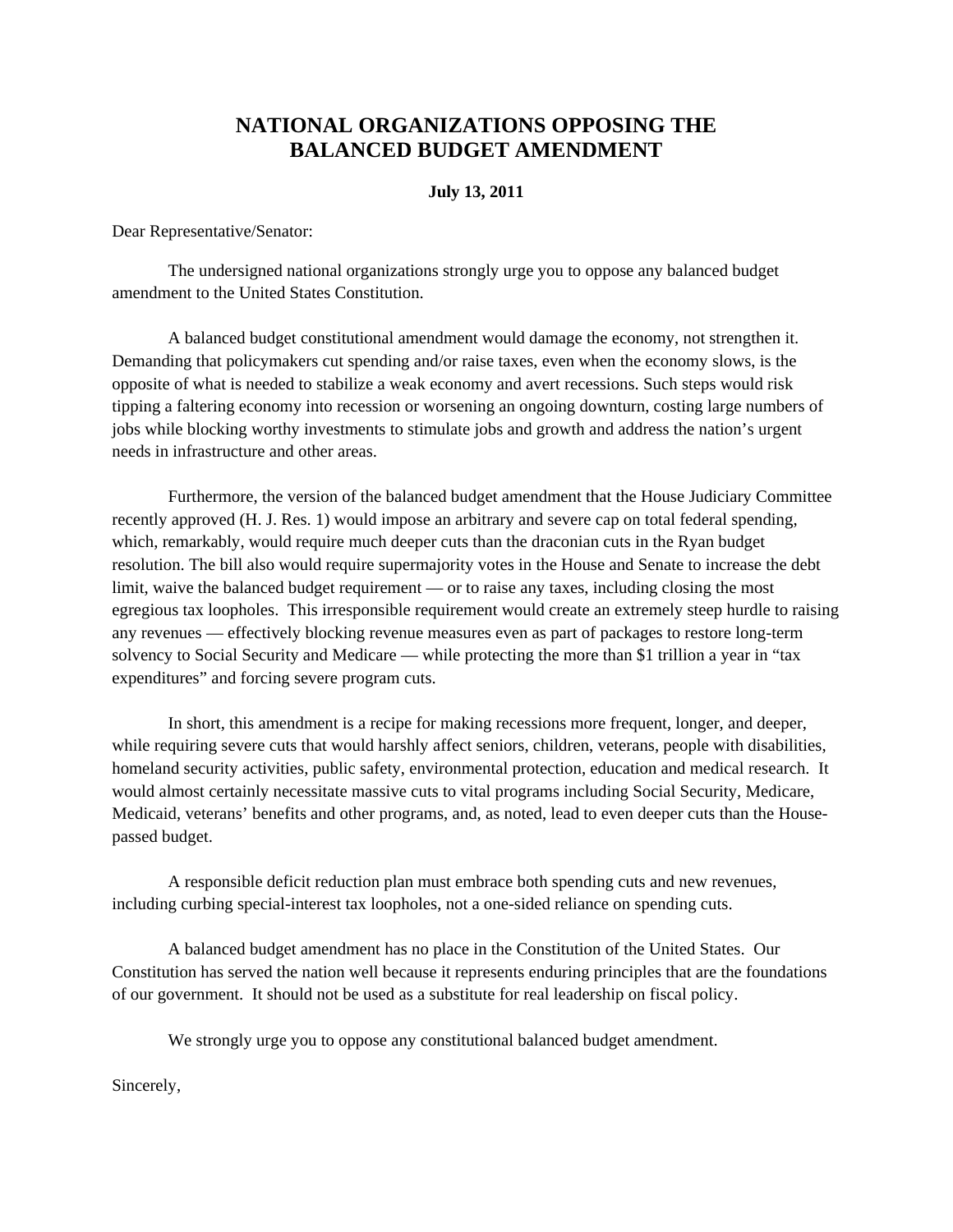## **NATIONAL ORGANIZATIONS OPPOSING THE BALANCED BUDGET AMENDMENT**

## **July 13, 2011**

Dear Representative/Senator:

The undersigned national organizations strongly urge you to oppose any balanced budget amendment to the United States Constitution.

A balanced budget constitutional amendment would damage the economy, not strengthen it. Demanding that policymakers cut spending and/or raise taxes, even when the economy slows, is the opposite of what is needed to stabilize a weak economy and avert recessions. Such steps would risk tipping a faltering economy into recession or worsening an ongoing downturn, costing large numbers of jobs while blocking worthy investments to stimulate jobs and growth and address the nation's urgent needs in infrastructure and other areas.

Furthermore, the version of the balanced budget amendment that the House Judiciary Committee recently approved (H. J. Res. 1) would impose an arbitrary and severe cap on total federal spending, which, remarkably, would require much deeper cuts than the draconian cuts in the Ryan budget resolution. The bill also would require supermajority votes in the House and Senate to increase the debt limit, waive the balanced budget requirement — or to raise any taxes, including closing the most egregious tax loopholes. This irresponsible requirement would create an extremely steep hurdle to raising any revenues — effectively blocking revenue measures even as part of packages to restore long-term solvency to Social Security and Medicare — while protecting the more than \$1 trillion a year in "tax expenditures" and forcing severe program cuts.

In short, this amendment is a recipe for making recessions more frequent, longer, and deeper, while requiring severe cuts that would harshly affect seniors, children, veterans, people with disabilities, homeland security activities, public safety, environmental protection, education and medical research. It would almost certainly necessitate massive cuts to vital programs including Social Security, Medicare, Medicaid, veterans' benefits and other programs, and, as noted, lead to even deeper cuts than the Housepassed budget.

A responsible deficit reduction plan must embrace both spending cuts and new revenues, including curbing special-interest tax loopholes, not a one-sided reliance on spending cuts.

A balanced budget amendment has no place in the Constitution of the United States. Our Constitution has served the nation well because it represents enduring principles that are the foundations of our government. It should not be used as a substitute for real leadership on fiscal policy.

We strongly urge you to oppose any constitutional balanced budget amendment.

Sincerely,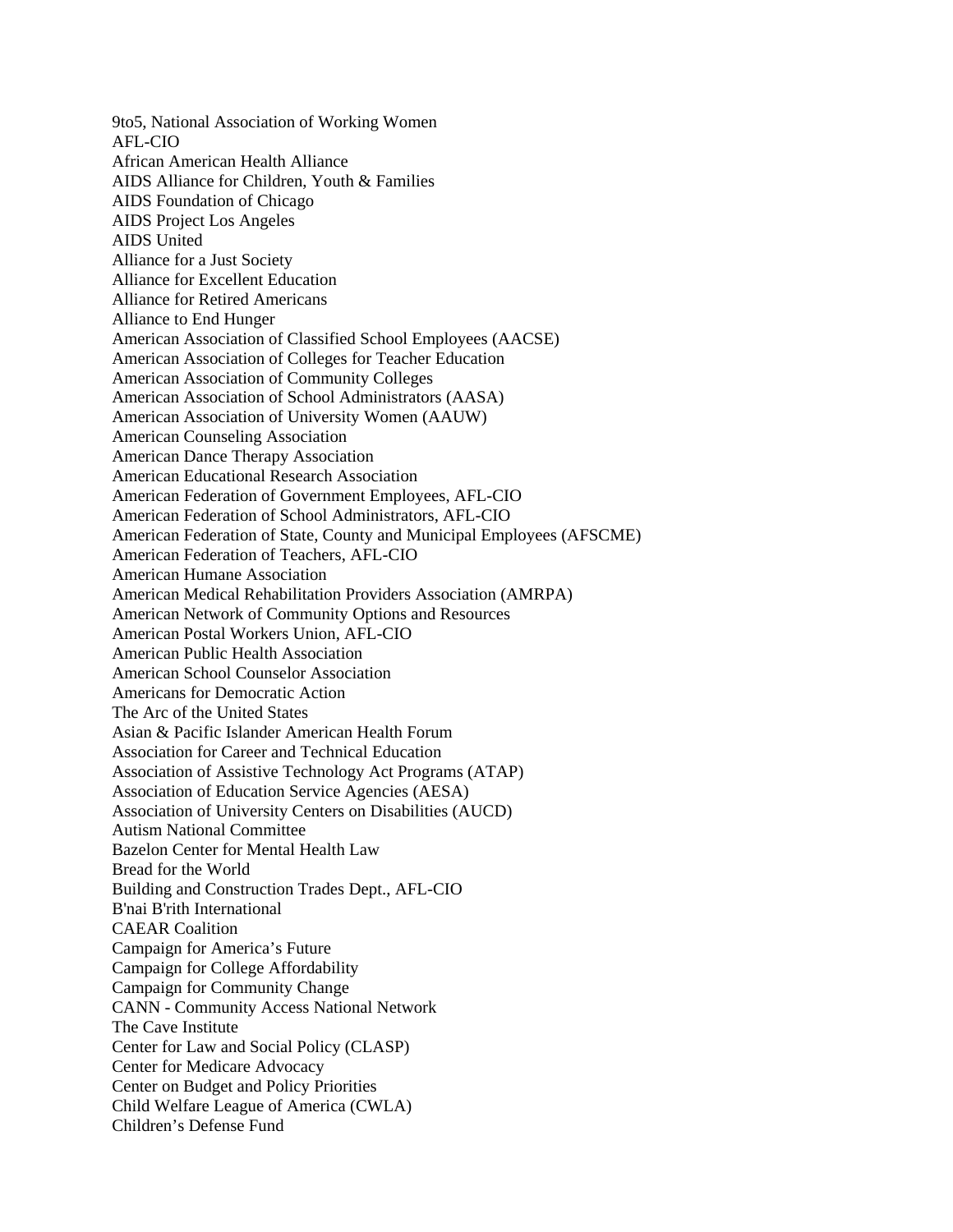9to5, National Association of Working Women AFL-CIO African American Health Alliance AIDS Alliance for Children, Youth & Families AIDS Foundation of Chicago AIDS Project Los Angeles AIDS United Alliance for a Just Society Alliance for Excellent Education Alliance for Retired Americans Alliance to End Hunger American Association of Classified School Employees (AACSE) American Association of Colleges for Teacher Education American Association of Community Colleges American Association of School Administrators (AASA) American Association of University Women (AAUW) American Counseling Association American Dance Therapy Association American Educational Research Association American Federation of Government Employees, AFL-CIO American Federation of School Administrators, AFL-CIO American Federation of State, County and Municipal Employees (AFSCME) American Federation of Teachers, AFL-CIO American Humane Association American Medical Rehabilitation Providers Association (AMRPA) American Network of Community Options and Resources American Postal Workers Union, AFL-CIO American Public Health Association American School Counselor Association Americans for Democratic Action The Arc of the United States Asian & Pacific Islander American Health Forum Association for Career and Technical Education Association of Assistive Technology Act Programs (ATAP) Association of Education Service Agencies (AESA) Association of University Centers on Disabilities (AUCD) Autism National Committee Bazelon Center for Mental Health Law Bread for the World Building and Construction Trades Dept., AFL-CIO B'nai B'rith International CAEAR Coalition Campaign for America's Future Campaign for College Affordability Campaign for Community Change CANN - Community Access National Network The Cave Institute Center for Law and Social Policy (CLASP) Center for Medicare Advocacy Center on Budget and Policy Priorities Child Welfare League of America (CWLA) Children's Defense Fund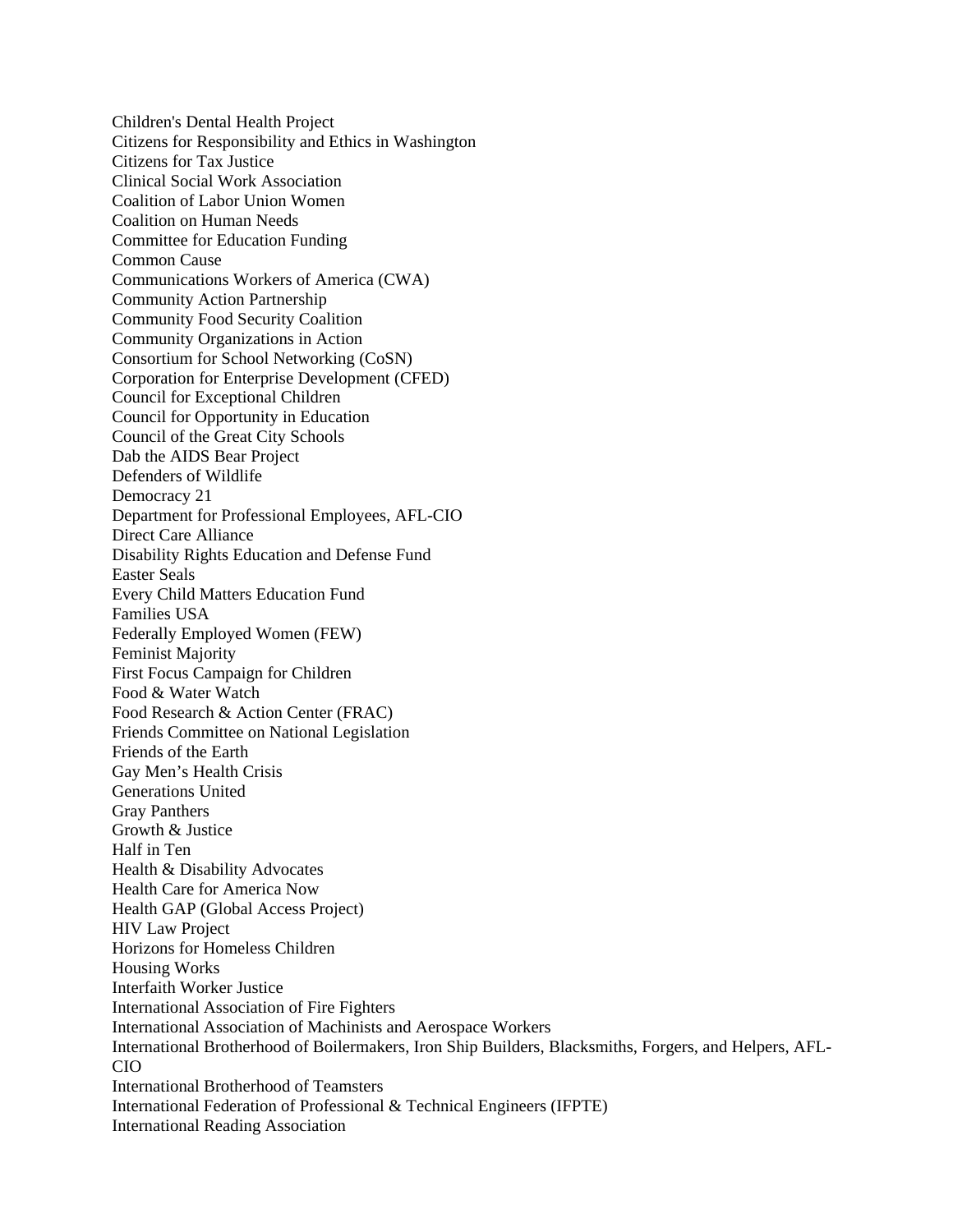Children's Dental Health Project Citizens for Responsibility and Ethics in Washington Citizens for Tax Justice Clinical Social Work Association Coalition of Labor Union Women Coalition on Human Needs Committee for Education Funding Common Cause Communications Workers of America (CWA) Community Action Partnership Community Food Security Coalition Community Organizations in Action Consortium for School Networking (CoSN) Corporation for Enterprise Development (CFED) Council for Exceptional Children Council for Opportunity in Education Council of the Great City Schools Dab the AIDS Bear Project Defenders of Wildlife Democracy 21 Department for Professional Employees, AFL-CIO Direct Care Alliance Disability Rights Education and Defense Fund Easter Seals Every Child Matters Education Fund Families USA Federally Employed Women (FEW) Feminist Majority First Focus Campaign for Children Food & Water Watch Food Research & Action Center (FRAC) Friends Committee on National Legislation Friends of the Earth Gay Men's Health Crisis Generations United Gray Panthers Growth & Justice Half in Ten Health & Disability Advocates Health Care for America Now Health GAP (Global Access Project) HIV Law Project Horizons for Homeless Children Housing Works Interfaith Worker Justice International Association of Fire Fighters International Association of Machinists and Aerospace Workers International Brotherhood of Boilermakers, Iron Ship Builders, Blacksmiths, Forgers, and Helpers, AFL-CIO International Brotherhood of Teamsters International Federation of Professional & Technical Engineers (IFPTE) International Reading Association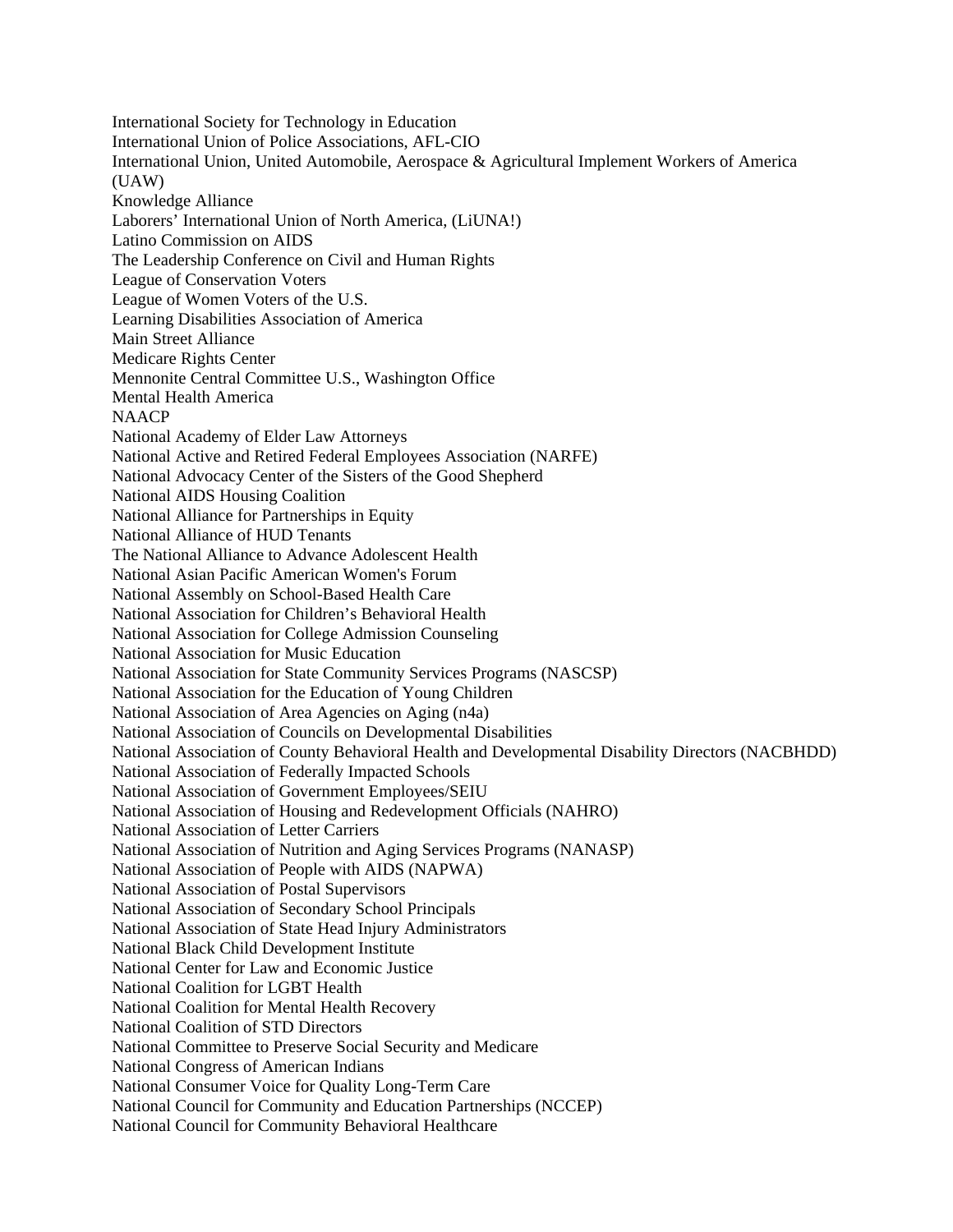International Society for Technology in Education International Union of Police Associations, AFL-CIO International Union, United Automobile, Aerospace & Agricultural Implement Workers of America (UAW) Knowledge Alliance Laborers' International Union of North America, (LiUNA!) Latino Commission on AIDS The Leadership Conference on Civil and Human Rights League of Conservation Voters League of Women Voters of the U.S. Learning Disabilities Association of America Main Street Alliance Medicare Rights Center Mennonite Central Committee U.S., Washington Office Mental Health America **NAACP** National Academy of Elder Law Attorneys National Active and Retired Federal Employees Association (NARFE) National Advocacy Center of the Sisters of the Good Shepherd National AIDS Housing Coalition National Alliance for Partnerships in Equity National Alliance of HUD Tenants The National Alliance to Advance Adolescent Health National Asian Pacific American Women's Forum National Assembly on School-Based Health Care National Association for Children's Behavioral Health National Association for College Admission Counseling National Association for Music Education National Association for State Community Services Programs (NASCSP) National Association for the Education of Young Children National Association of Area Agencies on Aging (n4a) National Association of Councils on Developmental Disabilities National Association of County Behavioral Health and Developmental Disability Directors (NACBHDD) National Association of Federally Impacted Schools National Association of Government Employees/SEIU National Association of Housing and Redevelopment Officials (NAHRO) National Association of Letter Carriers National Association of Nutrition and Aging Services Programs (NANASP) National Association of People with AIDS (NAPWA) National Association of Postal Supervisors National Association of Secondary School Principals National Association of State Head Injury Administrators National Black Child Development Institute National Center for Law and Economic Justice National Coalition for LGBT Health National Coalition for Mental Health Recovery National Coalition of STD Directors National Committee to Preserve Social Security and Medicare National Congress of American Indians National Consumer Voice for Quality Long-Term Care National Council for Community and Education Partnerships (NCCEP) National Council for Community Behavioral Healthcare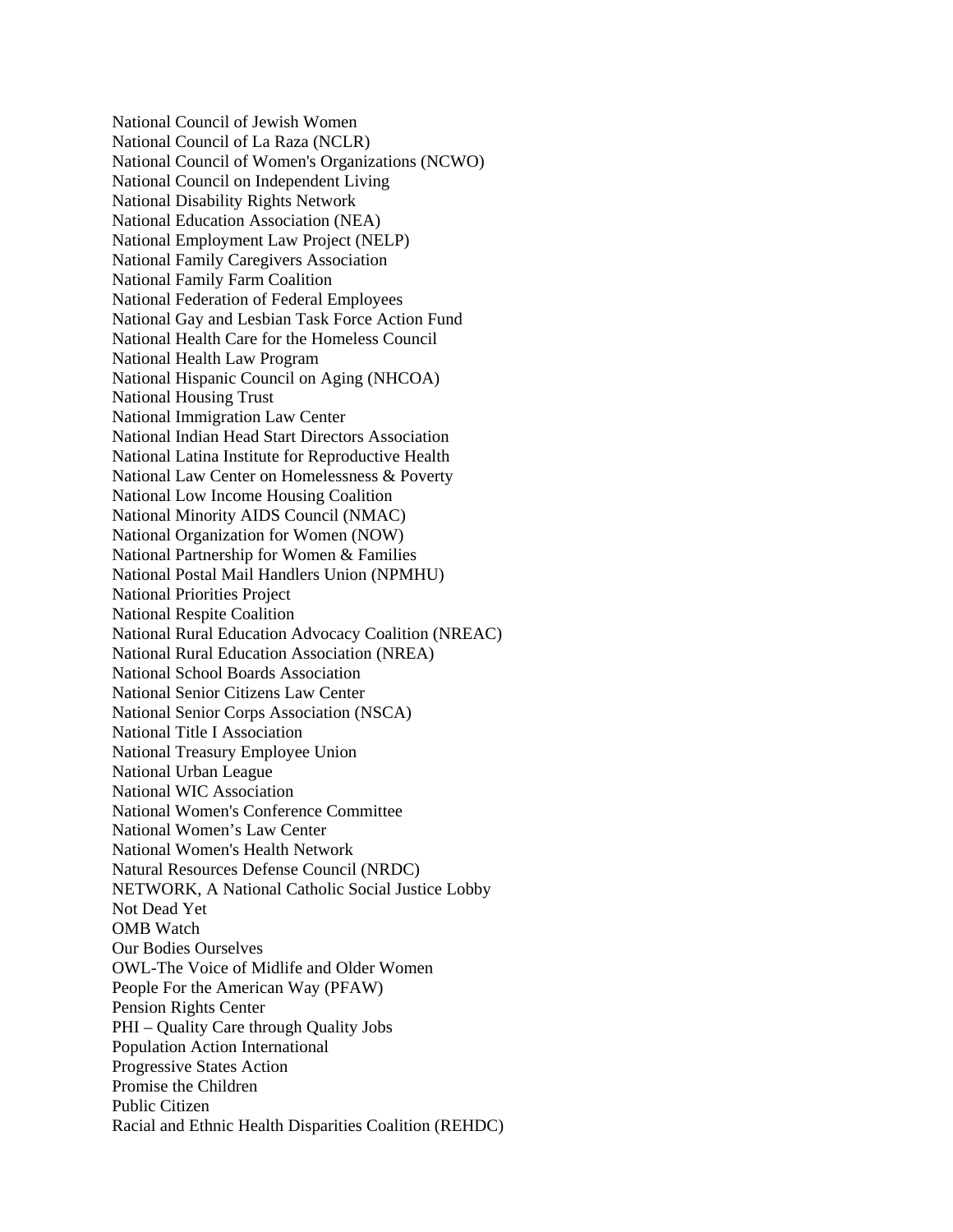National Council of Jewish Women National Council of La Raza (NCLR) National Council of Women's Organizations (NCWO) National Council on Independent Living National Disability Rights Network National Education Association (NEA) National Employment Law Project (NELP) National Family Caregivers Association National Family Farm Coalition National Federation of Federal Employees National Gay and Lesbian Task Force Action Fund National Health Care for the Homeless Council National Health Law Program National Hispanic Council on Aging (NHCOA) National Housing Trust National Immigration Law Center National Indian Head Start Directors Association National Latina Institute for Reproductive Health National Law Center on Homelessness & Poverty National Low Income Housing Coalition National Minority AIDS Council (NMAC) National Organization for Women (NOW) National Partnership for Women & Families National Postal Mail Handlers Union (NPMHU) National Priorities Project National Respite Coalition National Rural Education Advocacy Coalition (NREAC) National Rural Education Association (NREA) National School Boards Association National Senior Citizens Law Center National Senior Corps Association (NSCA) National Title I Association National Treasury Employee Union National Urban League National WIC Association National Women's Conference Committee National Women's Law Center National Women's Health Network Natural Resources Defense Council (NRDC) NETWORK, A National Catholic Social Justice Lobby Not Dead Yet OMB Watch Our Bodies Ourselves OWL-The Voice of Midlife and Older Women People For the American Way (PFAW) Pension Rights Center PHI – Quality Care through Quality Jobs Population Action International Progressive States Action Promise the Children Public Citizen Racial and Ethnic Health Disparities Coalition (REHDC)